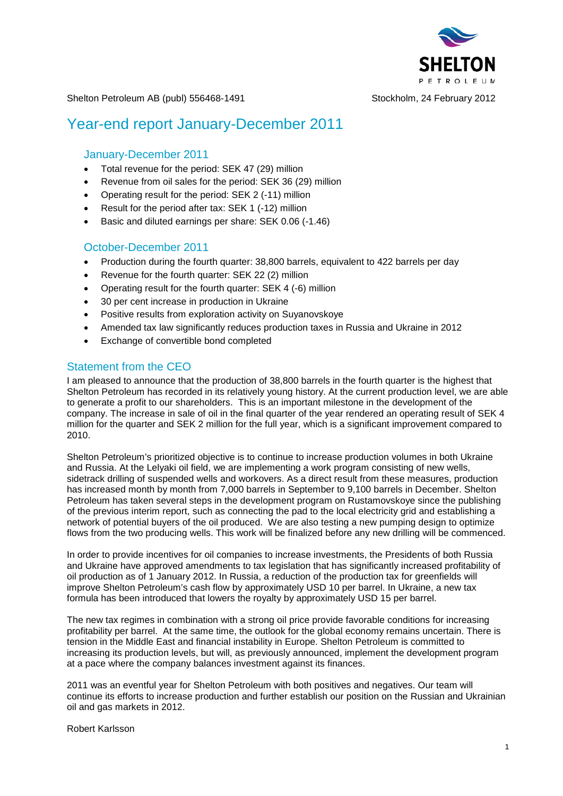

Shelton Petroleum AB (publ) 556468-1491 Stockholm, 24 February 2012

# Year-end report January-December 2011

### January-December 2011

- Total revenue for the period: SEK 47 (29) million
- Revenue from oil sales for the period: SEK 36 (29) million
- Operating result for the period: SEK 2 (-11) million
- Result for the period after tax: SEK 1 (-12) million
- Basic and diluted earnings per share: SEK 0.06 (-1.46)

### October-December 2011

- Production during the fourth quarter: 38,800 barrels, equivalent to 422 barrels per day
- Revenue for the fourth quarter: SEK 22 (2) million
- Operating result for the fourth quarter: SEK 4 (-6) million
- 30 per cent increase in production in Ukraine
- Positive results from exploration activity on Suyanovskoye
- Amended tax law significantly reduces production taxes in Russia and Ukraine in 2012
- Exchange of convertible bond completed

### Statement from the CEO

I am pleased to announce that the production of 38,800 barrels in the fourth quarter is the highest that Shelton Petroleum has recorded in its relatively young history. At the current production level, we are able to generate a profit to our shareholders. This is an important milestone in the development of the company. The increase in sale of oil in the final quarter of the year rendered an operating result of SEK 4 million for the quarter and SEK 2 million for the full year, which is a significant improvement compared to 2010.

Shelton Petroleum's prioritized objective is to continue to increase production volumes in both Ukraine and Russia. At the Lelyaki oil field, we are implementing a work program consisting of new wells, sidetrack drilling of suspended wells and workovers. As a direct result from these measures, production has increased month by month from 7,000 barrels in September to 9,100 barrels in December. Shelton Petroleum has taken several steps in the development program on Rustamovskoye since the publishing of the previous interim report, such as connecting the pad to the local electricity grid and establishing a network of potential buyers of the oil produced. We are also testing a new pumping design to optimize flows from the two producing wells. This work will be finalized before any new drilling will be commenced.

In order to provide incentives for oil companies to increase investments, the Presidents of both Russia and Ukraine have approved amendments to tax legislation that has significantly increased profitability of oil production as of 1 January 2012. In Russia, a reduction of the production tax for greenfields will improve Shelton Petroleum's cash flow by approximately USD 10 per barrel. In Ukraine, a new tax formula has been introduced that lowers the royalty by approximately USD 15 per barrel.

The new tax regimes in combination with a strong oil price provide favorable conditions for increasing profitability per barrel. At the same time, the outlook for the global economy remains uncertain. There is tension in the Middle East and financial instability in Europe. Shelton Petroleum is committed to increasing its production levels, but will, as previously announced, implement the development program at a pace where the company balances investment against its finances.

2011 was an eventful year for Shelton Petroleum with both positives and negatives. Our team will continue its efforts to increase production and further establish our position on the Russian and Ukrainian oil and gas markets in 2012.

Robert Karlsson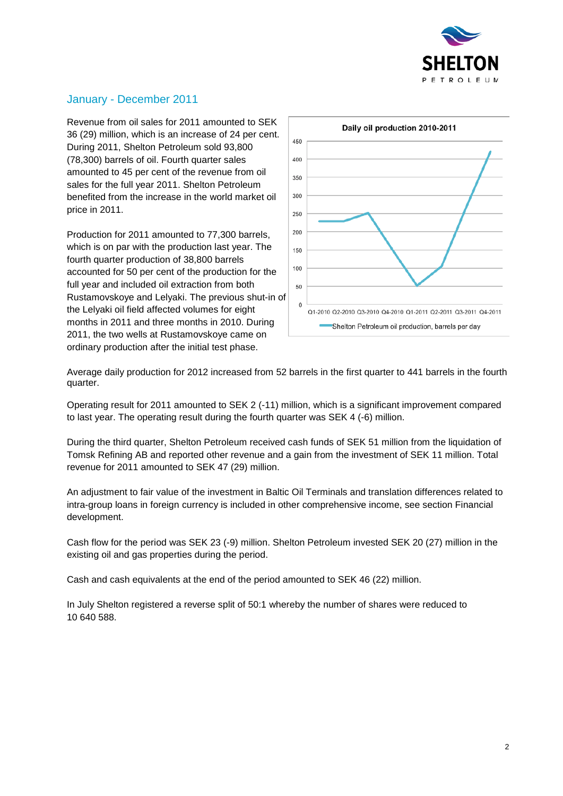

# January - December 2011

Revenue from oil sales for 2011 amounted to SEK 36 (29) million, which is an increase of 24 per cent. During 2011, Shelton Petroleum sold 93,800 (78,300) barrels of oil. Fourth quarter sales amounted to 45 per cent of the revenue from oil sales for the full year 2011. Shelton Petroleum benefited from the increase in the world market oil price in 2011.

Production for 2011 amounted to 77,300 barrels, which is on par with the production last year. The fourth quarter production of 38,800 barrels accounted for 50 per cent of the production for the full year and included oil extraction from both Rustamovskoye and Lelyaki. The previous shut-in of the Lelyaki oil field affected volumes for eight months in 2011 and three months in 2010. During 2011, the two wells at Rustamovskoye came on ordinary production after the initial test phase.



Average daily production for 2012 increased from 52 barrels in the first quarter to 441 barrels in the fourth quarter.

Operating result for 2011 amounted to SEK 2 (-11) million, which is a significant improvement compared to last year. The operating result during the fourth quarter was SEK 4 (-6) million.

During the third quarter, Shelton Petroleum received cash funds of SEK 51 million from the liquidation of Tomsk Refining AB and reported other revenue and a gain from the investment of SEK 11 million. Total revenue for 2011 amounted to SEK 47 (29) million.

An adjustment to fair value of the investment in Baltic Oil Terminals and translation differences related to intra-group loans in foreign currency is included in other comprehensive income, see section Financial development.

Cash flow for the period was SEK 23 (-9) million. Shelton Petroleum invested SEK 20 (27) million in the existing oil and gas properties during the period.

Cash and cash equivalents at the end of the period amounted to SEK 46 (22) million.

In July Shelton registered a reverse split of 50:1 whereby the number of shares were reduced to 10 640 588.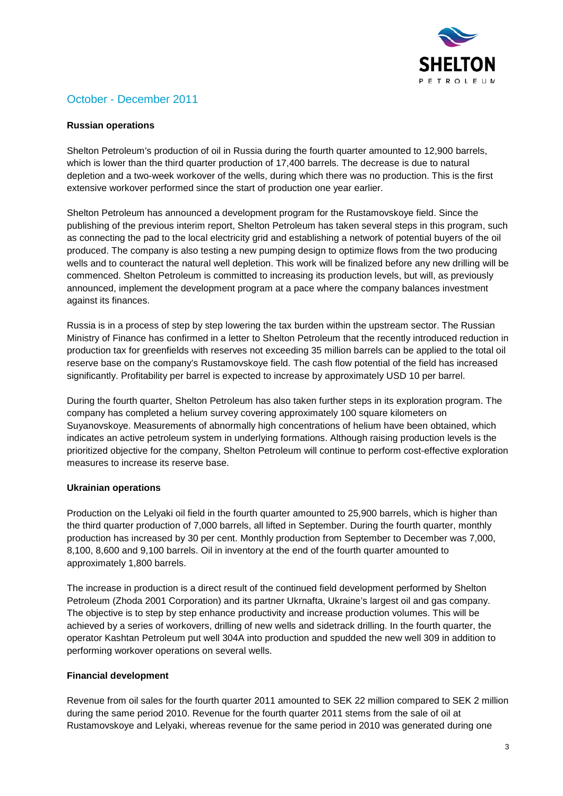

# October - December 2011

#### **Russian operations**

Shelton Petroleum's production of oil in Russia during the fourth quarter amounted to 12,900 barrels, which is lower than the third quarter production of 17,400 barrels. The decrease is due to natural depletion and a two-week workover of the wells, during which there was no production. This is the first extensive workover performed since the start of production one year earlier.

Shelton Petroleum has announced a development program for the Rustamovskoye field. Since the publishing of the previous interim report, Shelton Petroleum has taken several steps in this program, such as connecting the pad to the local electricity grid and establishing a network of potential buyers of the oil produced. The company is also testing a new pumping design to optimize flows from the two producing wells and to counteract the natural well depletion. This work will be finalized before any new drilling will be commenced. Shelton Petroleum is committed to increasing its production levels, but will, as previously announced, implement the development program at a pace where the company balances investment against its finances.

Russia is in a process of step by step lowering the tax burden within the upstream sector. The Russian Ministry of Finance has confirmed in a letter to Shelton Petroleum that the recently introduced reduction in production tax for greenfields with reserves not exceeding 35 million barrels can be applied to the total oil reserve base on the company's Rustamovskoye field. The cash flow potential of the field has increased significantly. Profitability per barrel is expected to increase by approximately USD 10 per barrel.

During the fourth quarter, Shelton Petroleum has also taken further steps in its exploration program. The company has completed a helium survey covering approximately 100 square kilometers on Suyanovskoye. Measurements of abnormally high concentrations of helium have been obtained, which indicates an active petroleum system in underlying formations. Although raising production levels is the prioritized objective for the company, Shelton Petroleum will continue to perform cost-effective exploration measures to increase its reserve base.

#### **Ukrainian operations**

Production on the Lelyaki oil field in the fourth quarter amounted to 25,900 barrels, which is higher than the third quarter production of 7,000 barrels, all lifted in September. During the fourth quarter, monthly production has increased by 30 per cent. Monthly production from September to December was 7,000, 8,100, 8,600 and 9,100 barrels. Oil in inventory at the end of the fourth quarter amounted to approximately 1,800 barrels.

The increase in production is a direct result of the continued field development performed by Shelton Petroleum (Zhoda 2001 Corporation) and its partner Ukrnafta, Ukraine's largest oil and gas company. The objective is to step by step enhance productivity and increase production volumes. This will be achieved by a series of workovers, drilling of new wells and sidetrack drilling. In the fourth quarter, the operator Kashtan Petroleum put well 304A into production and spudded the new well 309 in addition to performing workover operations on several wells.

#### **Financial development**

Revenue from oil sales for the fourth quarter 2011 amounted to SEK 22 million compared to SEK 2 million during the same period 2010. Revenue for the fourth quarter 2011 stems from the sale of oil at Rustamovskoye and Lelyaki, whereas revenue for the same period in 2010 was generated during one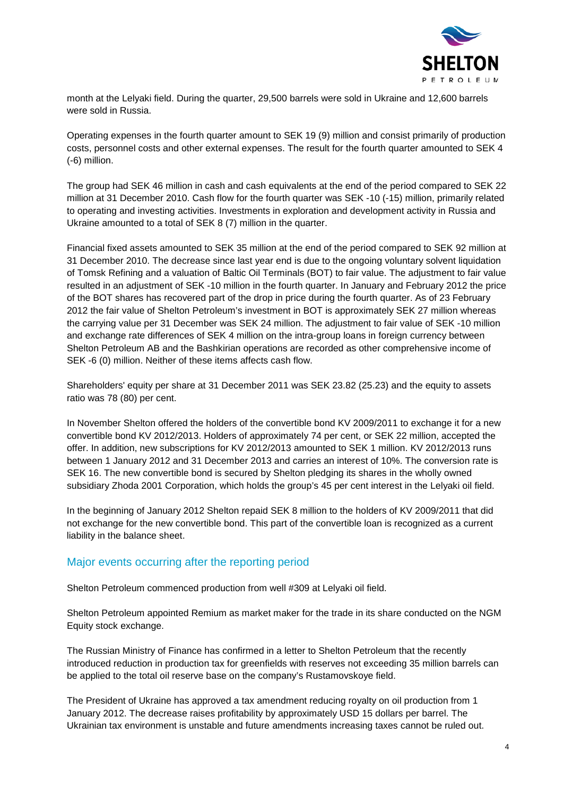

month at the Lelyaki field. During the quarter, 29,500 barrels were sold in Ukraine and 12,600 barrels were sold in Russia.

Operating expenses in the fourth quarter amount to SEK 19 (9) million and consist primarily of production costs, personnel costs and other external expenses. The result for the fourth quarter amounted to SEK 4 (-6) million.

The group had SEK 46 million in cash and cash equivalents at the end of the period compared to SEK 22 million at 31 December 2010. Cash flow for the fourth quarter was SEK -10 (-15) million, primarily related to operating and investing activities. Investments in exploration and development activity in Russia and Ukraine amounted to a total of SEK 8 (7) million in the quarter.

Financial fixed assets amounted to SEK 35 million at the end of the period compared to SEK 92 million at 31 December 2010. The decrease since last year end is due to the ongoing voluntary solvent liquidation of Tomsk Refining and a valuation of Baltic Oil Terminals (BOT) to fair value. The adjustment to fair value resulted in an adjustment of SEK -10 million in the fourth quarter. In January and February 2012 the price of the BOT shares has recovered part of the drop in price during the fourth quarter. As of 23 February 2012 the fair value of Shelton Petroleum's investment in BOT is approximately SEK 27 million whereas the carrying value per 31 December was SEK 24 million. The adjustment to fair value of SEK -10 million and exchange rate differences of SEK 4 million on the intra-group loans in foreign currency between Shelton Petroleum AB and the Bashkirian operations are recorded as other comprehensive income of SEK -6 (0) million. Neither of these items affects cash flow.

Shareholders' equity per share at 31 December 2011 was SEK 23.82 (25.23) and the equity to assets ratio was 78 (80) per cent.

In November Shelton offered the holders of the convertible bond KV 2009/2011 to exchange it for a new convertible bond KV 2012/2013. Holders of approximately 74 per cent, or SEK 22 million, accepted the offer. In addition, new subscriptions for KV 2012/2013 amounted to SEK 1 million. KV 2012/2013 runs between 1 January 2012 and 31 December 2013 and carries an interest of 10%. The conversion rate is SEK 16. The new convertible bond is secured by Shelton pledging its shares in the wholly owned subsidiary Zhoda 2001 Corporation, which holds the group's 45 per cent interest in the Lelyaki oil field.

In the beginning of January 2012 Shelton repaid SEK 8 million to the holders of KV 2009/2011 that did not exchange for the new convertible bond. This part of the convertible loan is recognized as a current liability in the balance sheet.

### Major events occurring after the reporting period

Shelton Petroleum commenced production from well #309 at Lelyaki oil field.

Shelton Petroleum appointed Remium as market maker for the trade in its share conducted on the NGM Equity stock exchange.

The Russian Ministry of Finance has confirmed in a letter to Shelton Petroleum that the recently introduced reduction in production tax for greenfields with reserves not exceeding 35 million barrels can be applied to the total oil reserve base on the company's Rustamovskoye field.

The President of Ukraine has approved a tax amendment reducing royalty on oil production from 1 January 2012. The decrease raises profitability by approximately USD 15 dollars per barrel. The Ukrainian tax environment is unstable and future amendments increasing taxes cannot be ruled out.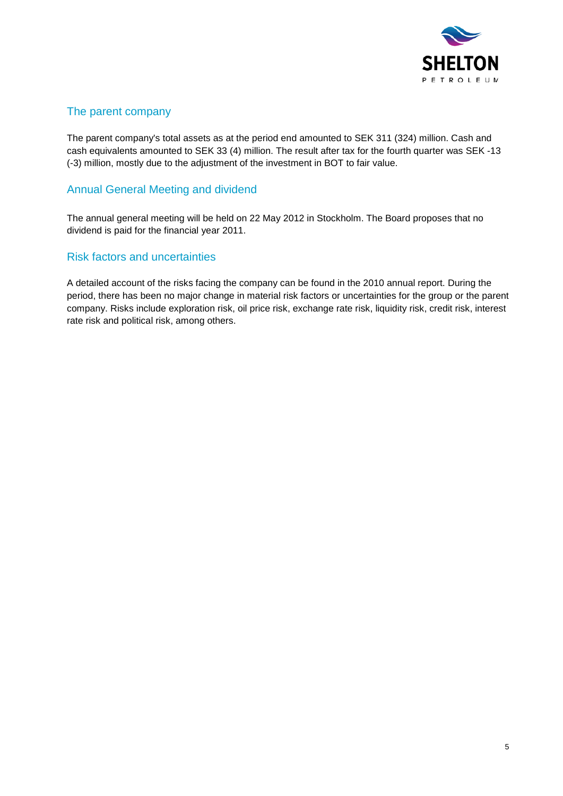

# The parent company

The parent company's total assets as at the period end amounted to SEK 311 (324) million. Cash and cash equivalents amounted to SEK 33 (4) million. The result after tax for the fourth quarter was SEK -13 (-3) million, mostly due to the adjustment of the investment in BOT to fair value.

# Annual General Meeting and dividend

The annual general meeting will be held on 22 May 2012 in Stockholm. The Board proposes that no dividend is paid for the financial year 2011.

### Risk factors and uncertainties

A detailed account of the risks facing the company can be found in the 2010 annual report. During the period, there has been no major change in material risk factors or uncertainties for the group or the parent company. Risks include exploration risk, oil price risk, exchange rate risk, liquidity risk, credit risk, interest rate risk and political risk, among others.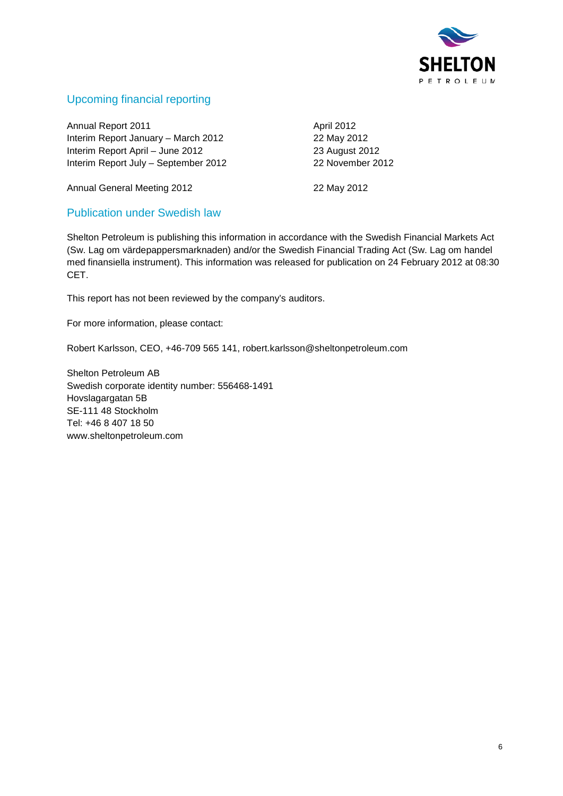

# Upcoming financial reporting

Annual Report 2011 **Annual Report 2011** Interim Report January – March 2012 22 May 2012 Interim Report April – June 2012 23 August 2012 Interim Report July – September 2012 22 November 2012

Annual General Meeting 2012 22 May 2012

### Publication under Swedish law

Shelton Petroleum is publishing this information in accordance with the Swedish Financial Markets Act (Sw. Lag om värdepappersmarknaden) and/or the Swedish Financial Trading Act (Sw. Lag om handel med finansiella instrument). This information was released for publication on 24 February 2012 at 08:30 CET.

This report has not been reviewed by the company's auditors.

For more information, please contact:

Robert Karlsson, CEO, +46-709 565 141, robert.karlsson@sheltonpetroleum.com

Shelton Petroleum AB Swedish corporate identity number: 556468-1491 Hovslagargatan 5B SE-111 48 Stockholm Tel: +46 8 407 18 50 [www.sheltonpetroleum.com](http://www.sheltonpetroleum.com/)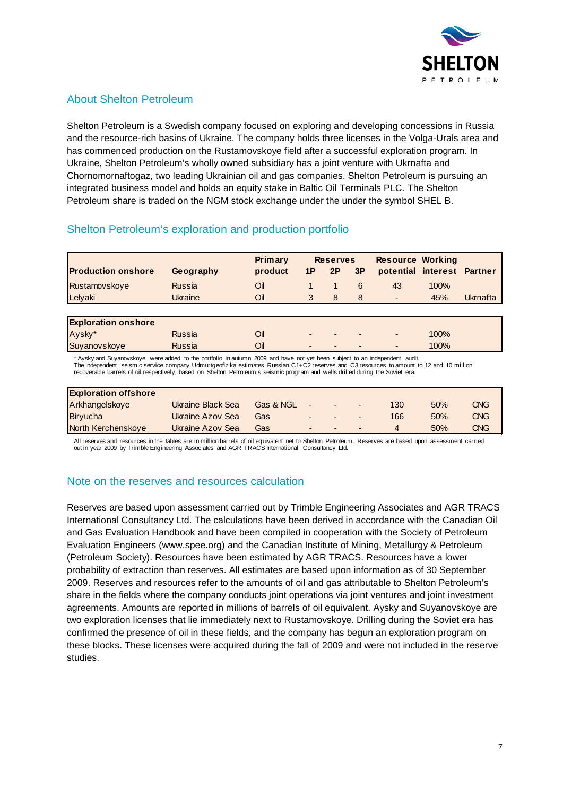

# About Shelton Petroleum

Shelton Petroleum is a Swedish company focused on exploring and developing concessions in Russia and the resource-rich basins of Ukraine. The company holds three licenses in the Volga-Urals area and has commenced production on the Rustamovskoye field after a successful exploration program. In Ukraine, Shelton Petroleum's wholly owned subsidiary has a joint venture with Ukrnafta and Chornomornaftogaz, two leading Ukrainian oil and gas companies. Shelton Petroleum is pursuing an integrated business model and holds an equity stake in Baltic Oil Terminals PLC. The Shelton Petroleum share is traded on the NGM stock exchange under the under the symbol SHEL B.

### Shelton Petroleum's exploration and production portfolio

|                           |           | <b>Primary</b> | <b>Reserves</b> |           |    | <b>Resource Working</b>    |      |          |
|---------------------------|-----------|----------------|-----------------|-----------|----|----------------------------|------|----------|
| <b>Production onshore</b> | Geography | product        | 1P              | <b>2P</b> | 3P | potential interest Partner |      |          |
| Rustamovskove             | Russia    | Oil            |                 |           | 6  | 43                         | 100% |          |
| Lelyaki                   | Ukraine   | Oil            |                 |           | 8  | $\overline{\phantom{a}}$   | 45%  | Ukrnafta |

| <b>Exploration onshore</b> |        |                          |                          |                          |                          |      |  |
|----------------------------|--------|--------------------------|--------------------------|--------------------------|--------------------------|------|--|
| Aysky*                     | Russia | $\overline{\phantom{0}}$ | $\overline{\phantom{0}}$ | $\overline{\phantom{0}}$ | $\overline{\phantom{a}}$ | 100% |  |
| Suyanovskoye               | Russia |                          | $\overline{\phantom{0}}$ | $\overline{\phantom{0}}$ | $\overline{\phantom{0}}$ | 100% |  |

\* Aysky and Suyanovskoye were added to the portfolio in autumn 2009 and have not yet been subject to an independent audit.<br>The independent seismic service company Udmurtgeofizika estimates Russian C1+C2 reserves and C3 res

recoverable barrels of oil respectively, based on Shelton Petroleum's seismic program and wells drilled during the Soviet era.

| <b>Exploration offshore</b> |                   |           |                          |                |                          |     |     |            |
|-----------------------------|-------------------|-----------|--------------------------|----------------|--------------------------|-----|-----|------------|
| Arkhangelskove              | Ukraine Black Sea | Gas & NGL | $\overline{\phantom{0}}$ | $\blacksquare$ | $\blacksquare$           | 130 | 50% | <b>CNG</b> |
| Biryucha                    | Ukraine Azov Sea  | Gas       | $\overline{\phantom{0}}$ | $\blacksquare$ | $\overline{\phantom{0}}$ | 166 | 50% | <b>CNG</b> |
| North Kerchenskoye          | Ukraine Azov Sea  | Gas       | $\overline{\phantom{0}}$ | $\sim$         | $\overline{\phantom{0}}$ |     | 50% | <b>CNG</b> |

All reserves and resources in the tables are in million barrels of oil equivalent net to Shelton Petroleum. Reserves are based upon assessment carried out in year 2009 by Trimble Engineering Associates and AGR TRACS International Consultancy Ltd.

### Note on the reserves and resources calculation

Reserves are based upon assessment carried out by Trimble Engineering Associates and AGR TRACS International Consultancy Ltd. The calculations have been derived in accordance with the Canadian Oil and Gas Evaluation Handbook and have been compiled in cooperation with the Society of Petroleum Evaluation Engineers [\(www.spee.org\)](http://www.spee.org/) and the Canadian Institute of Mining, Metallurgy & Petroleum (Petroleum Society). Resources have been estimated by AGR TRACS. Resources have a lower probability of extraction than reserves. All estimates are based upon information as of 30 September 2009. Reserves and resources refer to the amounts of oil and gas attributable to Shelton Petroleum's share in the fields where the company conducts joint operations via joint ventures and joint investment agreements. Amounts are reported in millions of barrels of oil equivalent. Aysky and Suyanovskoye are two exploration licenses that lie immediately next to Rustamovskoye. Drilling during the Soviet era has confirmed the presence of oil in these fields, and the company has begun an exploration program on these blocks. These licenses were acquired during the fall of 2009 and were not included in the reserve studies.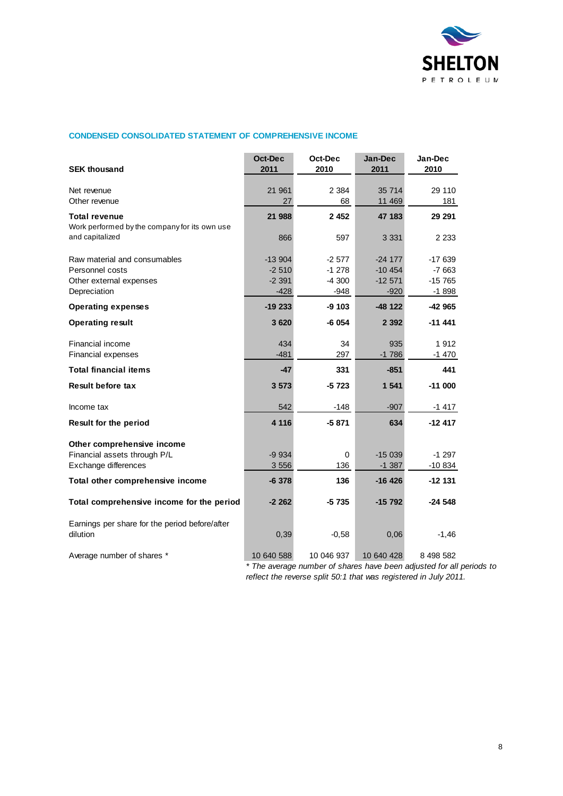

#### **CONDENSED CONSOLIDATED STATEMENT OF COMPREHENSIVE INCOME**

| <b>SEK thousand</b>                                                   | Oct-Dec<br>2011  | Oct-Dec<br>2010 | Jan-Dec<br>2011    | Jan-Dec<br>2010    |
|-----------------------------------------------------------------------|------------------|-----------------|--------------------|--------------------|
|                                                                       |                  |                 |                    |                    |
| Net revenue<br>Other revenue                                          | 21 961<br>27     | 2 3 8 4<br>68   | 35 714<br>11 469   | 29 110<br>181      |
|                                                                       |                  |                 |                    |                    |
| <b>Total revenue</b><br>Work performed by the company for its own use | 21 988           | 2452            | 47 183             | 29 291             |
| and capitalized                                                       | 866              | 597             | 3 3 3 1            | 2 2 3 3            |
|                                                                       |                  |                 |                    |                    |
| Raw material and consumables                                          | $-13904$         | $-2577$         | $-24177$           | $-17639$           |
| Personnel costs                                                       | $-2510$          | $-1278$         | $-10454$           | $-7663$            |
| Other external expenses<br>Depreciation                               | -2 391<br>$-428$ | -4 300<br>-948  | $-12571$<br>$-920$ | -15 765<br>$-1898$ |
| <b>Operating expenses</b>                                             | $-19233$         | $-9103$         | $-48$ 122          | $-42965$           |
| <b>Operating result</b>                                               | 3 6 20           | -6 054          | 2 3 9 2            | -11 441            |
| Financial income                                                      | 434              | 34              | 935                | 1912               |
| Financial expenses                                                    | $-481$           | 297             | $-1786$            | $-1470$            |
| <b>Total financial items</b>                                          | -47              | 331             | $-851$             | 441                |
| <b>Result before tax</b>                                              | 3573             | $-5723$         | 1 5 4 1            | $-11000$           |
| Income tax                                                            | 542              | $-148$          | $-907$             | $-1417$            |
| <b>Result for the period</b>                                          | 4 1 1 6          | $-5871$         | 634                | $-12417$           |
| Other comprehensive income                                            |                  |                 |                    |                    |
| Financial assets through P/L                                          | $-9934$          | 0               | $-15039$           | $-1297$            |
| Exchange differences                                                  | 3 5 5 6          | 136             | $-1.387$           | $-10834$           |
| Total other comprehensive income                                      | $-6378$          | 136             | $-16$ 426          | -12 131            |
| Total comprehensive income for the period                             | $-2262$          | $-5735$         | $-15792$           | $-24548$           |
| Earnings per share for the period before/after<br>dilution            | 0,39             | $-0.58$         | 0,06               | $-1,46$            |
| Average number of shares *                                            | 10 640 588       | 10 046 937      | 10 640 428         | 8 498 582          |

*\* The average number of shares have been adjusted for all periods to reflect the reverse split 50:1 that was registered in July 2011.*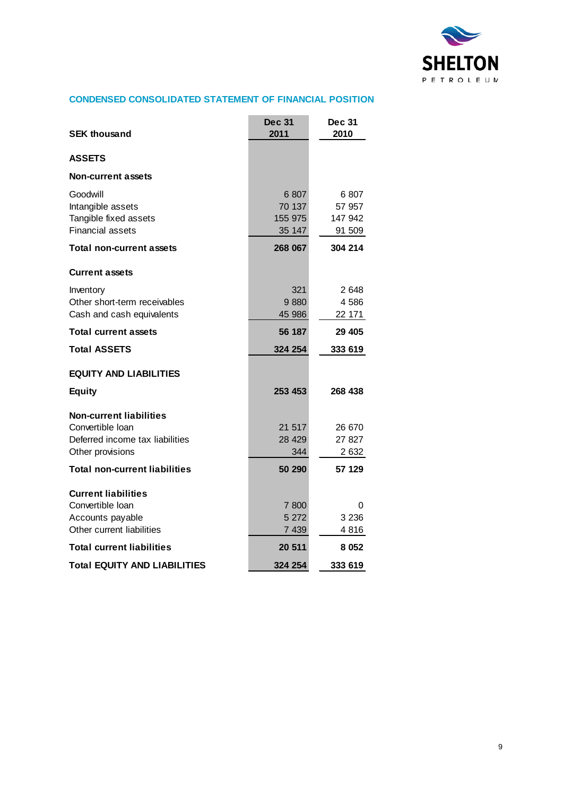

### **CONDENSED CONSOLIDATED STATEMENT OF FINANCIAL POSITION**

|                                      | <b>Dec 31</b> | <b>Dec 31</b> |
|--------------------------------------|---------------|---------------|
| <b>SEK thousand</b>                  | 2011          | 2010          |
| <b>ASSETS</b>                        |               |               |
| <b>Non-current assets</b>            |               |               |
| Goodwill                             | 6807          | 6 807         |
| Intangible assets                    | 70 137        | 57 957        |
| Tangible fixed assets                | 155 975       | 147 942       |
| <b>Financial assets</b>              | 35 147        | 91 509        |
| <b>Total non-current assets</b>      | 268 067       | 304 214       |
| <b>Current assets</b>                |               |               |
| Inventory                            | 321           | 2648          |
| Other short-term receivables         | 9880          | 4586          |
| Cash and cash equivalents            | 45 986        | 22 171        |
| <b>Total current assets</b>          | 56 187        | 29 4 05       |
| <b>Total ASSETS</b>                  | 324 254       | 333 619       |
| <b>EQUITY AND LIABILITIES</b>        |               |               |
| <b>Equity</b>                        | 253 453       | 268 438       |
| <b>Non-current liabilities</b>       |               |               |
| Convertible Ioan                     | 21 517        | 26 670        |
| Deferred income tax liabilities      | 28 4 29       | 27 827        |
| Other provisions                     | 344           | 2 632         |
| <b>Total non-current liabilities</b> | 50 290        | 57 129        |
|                                      |               |               |
| <b>Current liabilities</b>           |               |               |
| Convertible Ioan                     | 7800          | 0             |
| Accounts payable                     | 5 2 7 2       | 3 2 3 6       |
| Other current liabilities            | 7439          | 4816          |
| <b>Total current liabilities</b>     | 20 511        | 8 0 5 2       |
| <b>Total EQUITY AND LIABILITIES</b>  | 324 254       | 333 619       |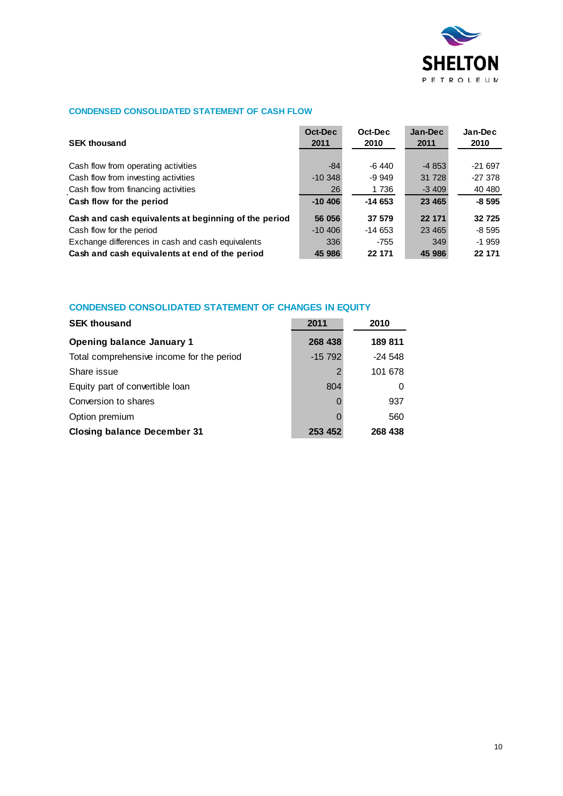

### **CONDENSED CONSOLIDATED STATEMENT OF CASH FLOW**

| <b>SEK thousand</b>                                  | Oct-Dec<br>2011 | Oct-Dec<br>2010 | Jan-Dec<br>2011 | Jan-Dec<br>2010 |
|------------------------------------------------------|-----------------|-----------------|-----------------|-----------------|
| Cash flow from operating activities                  | $-84$           | $-6440$         | $-4853$         | $-21697$        |
| Cash flow from investing activities                  | $-10.348$       | $-9.949$        | 31 728          | $-27378$        |
| Cash flow from financing activities                  | 26              | 1 7 3 6         | $-3409$         | 40 480          |
| Cash flow for the period                             | $-10,406$       | $-14653$        | 23 4 65         | $-8595$         |
| Cash and cash equivalents at beginning of the period | 56 056          | 37 579          | 22 171          | 32725           |
| Cash flow for the period                             | $-10,406$       | $-14653$        | 23 4 65         | $-8595$         |
| Exchange differences in cash and cash equivalents    | 336             | $-755$          | 349             | $-1959$         |
| Cash and cash equivalents at end of the period       | 45 986          | 22 171          | 45 986          | 22 171          |

### **CONDENSED CONSOLIDATED STATEMENT OF CHANGES IN EQUITY**

| <b>SEK thousand</b>                       | 2011     | 2010     |
|-------------------------------------------|----------|----------|
| <b>Opening balance January 1</b>          | 268 438  | 189811   |
| Total comprehensive income for the period | $-15792$ | $-24548$ |
| Share issue                               | 2        | 101 678  |
| Equity part of convertible loan           | 804      |          |
| Conversion to shares                      |          | 937      |
| Option premium                            |          | 560      |
| <b>Closing balance December 31</b>        | 253 452  | 268 438  |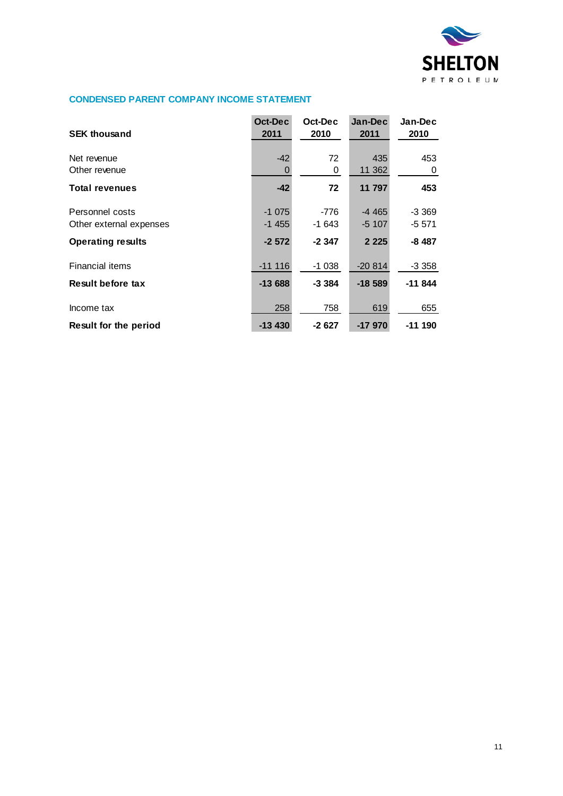

#### **CONDENSED PARENT COMPANY INCOME STATEMENT**

| <b>SEK thousand</b>                                                    | Oct-Dec<br>2011               | Oct-Dec<br>2010              | Jan-Dec<br>2011               | Jan-Dec<br>2010               |
|------------------------------------------------------------------------|-------------------------------|------------------------------|-------------------------------|-------------------------------|
| Net revenue<br>Other revenue                                           | $-42$<br>O                    | 72<br>0                      | 435<br>11 362                 | 453<br>0                      |
| <b>Total revenues</b>                                                  | $-42$                         | 72                           | 11 797                        | 453                           |
| Personnel costs<br>Other external expenses<br><b>Operating results</b> | $-1075$<br>$-1455$<br>$-2572$ | $-776$<br>$-1643$<br>$-2347$ | $-4465$<br>$-5107$<br>2 2 2 5 | $-3.369$<br>-5 571<br>$-8487$ |
| <b>Financial items</b>                                                 | $-11116$                      | $-1038$                      | $-20.814$                     | $-3.358$                      |
| Result before tax                                                      | $-13688$                      | $-3.384$                     | $-18589$                      | $-11844$                      |
| Income tax                                                             | 258                           | 758                          | 619                           | 655                           |
| Result for the period                                                  | $-13430$                      | $-2627$                      | $-17970$                      | $-11190$                      |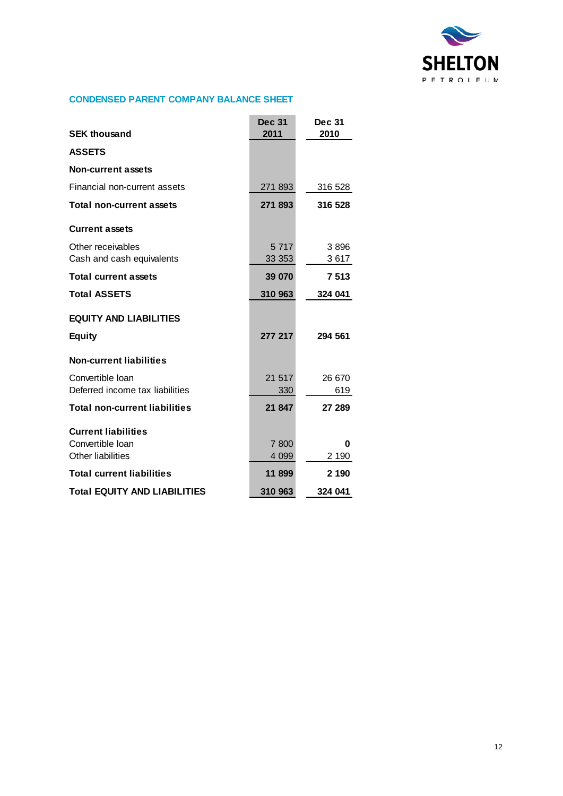

#### **CONDENSED PARENT COMPANY BALANCE SHEET**

|                                                     | <b>Dec 31</b>     | <b>Dec 31</b> |
|-----------------------------------------------------|-------------------|---------------|
| <b>SEK thousand</b>                                 | 2011              | 2010          |
| <b>ASSETS</b>                                       |                   |               |
| <b>Non-current assets</b>                           |                   |               |
| Financial non-current assets                        | 271 893           | 316 528       |
| <b>Total non-current assets</b>                     | 271 893           | 316 528       |
| <b>Current assets</b>                               |                   |               |
| Other receivables<br>Cash and cash equivalents      | 5 7 1 7<br>33 353 | 3896<br>3617  |
| <b>Total current assets</b>                         | 39 070            | 7513          |
| <b>Total ASSETS</b>                                 | 310 963           | 324 041       |
| <b>EQUITY AND LIABILITIES</b>                       |                   |               |
| <b>Equity</b>                                       | 277 217           | 294 561       |
| <b>Non-current liabilities</b>                      |                   |               |
| Convertible Ioan<br>Deferred income tax liabilities | 21 517<br>330     | 26 670<br>619 |
| <b>Total non-current liabilities</b>                | 21 847            | 27 289        |
| <b>Current liabilities</b>                          |                   |               |
| Convertible Ioan                                    | 7 800             | 0             |
| <b>Other liabilities</b>                            | 4 0 9 9           | 2 190         |
| <b>Total current liabilities</b>                    | 11 899            | 2 190         |
| <b>Total EQUITY AND LIABILITIES</b>                 | 310 963           | 324 041       |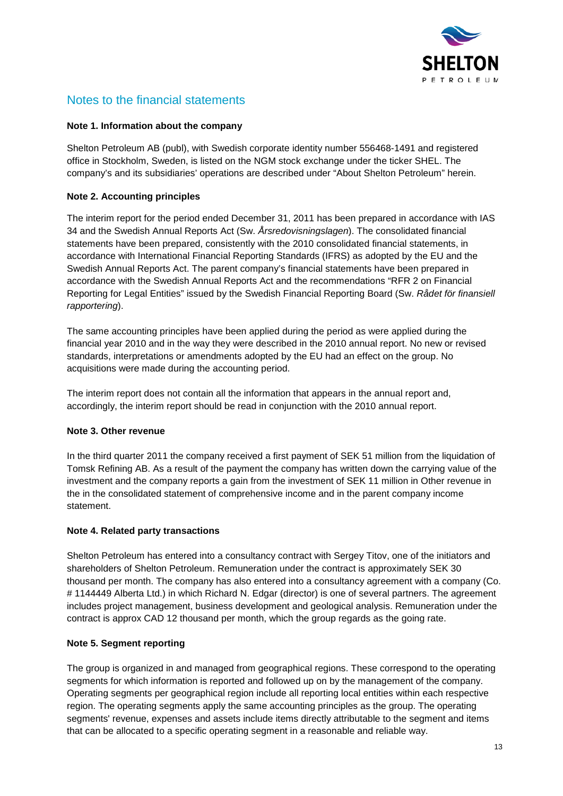

# Notes to the financial statements

#### **Note 1. Information about the company**

Shelton Petroleum AB (publ), with Swedish corporate identity number 556468-1491 and registered office in Stockholm, Sweden, is listed on the NGM stock exchange under the ticker SHEL. The company's and its subsidiaries' operations are described under "About Shelton Petroleum" herein.

#### **Note 2. Accounting principles**

The interim report for the period ended December 31, 2011 has been prepared in accordance with IAS 34 and the Swedish Annual Reports Act (Sw. *Årsredovisningslagen*). The consolidated financial statements have been prepared, consistently with the 2010 consolidated financial statements, in accordance with International Financial Reporting Standards (IFRS) as adopted by the EU and the Swedish Annual Reports Act. The parent company's financial statements have been prepared in accordance with the Swedish Annual Reports Act and the recommendations "RFR 2 on Financial Reporting for Legal Entities" issued by the Swedish Financial Reporting Board (Sw. *Rådet för finansiell rapportering*).

The same accounting principles have been applied during the period as were applied during the financial year 2010 and in the way they were described in the 2010 annual report. No new or revised standards, interpretations or amendments adopted by the EU had an effect on the group. No acquisitions were made during the accounting period.

The interim report does not contain all the information that appears in the annual report and, accordingly, the interim report should be read in conjunction with the 2010 annual report.

#### **Note 3. Other revenue**

In the third quarter 2011 the company received a first payment of SEK 51 million from the liquidation of Tomsk Refining AB. As a result of the payment the company has written down the carrying value of the investment and the company reports a gain from the investment of SEK 11 million in Other revenue in the in the consolidated statement of comprehensive income and in the parent company income statement.

#### **Note 4. Related party transactions**

Shelton Petroleum has entered into a consultancy contract with Sergey Titov, one of the initiators and shareholders of Shelton Petroleum. Remuneration under the contract is approximately SEK 30 thousand per month. The company has also entered into a consultancy agreement with a company (Co. # 1144449 Alberta Ltd.) in which Richard N. Edgar (director) is one of several partners. The agreement includes project management, business development and geological analysis. Remuneration under the contract is approx CAD 12 thousand per month, which the group regards as the going rate.

#### **Note 5. Segment reporting**

The group is organized in and managed from geographical regions. These correspond to the operating segments for which information is reported and followed up on by the management of the company. Operating segments per geographical region include all reporting local entities within each respective region. The operating segments apply the same accounting principles as the group. The operating segments' revenue, expenses and assets include items directly attributable to the segment and items that can be allocated to a specific operating segment in a reasonable and reliable way.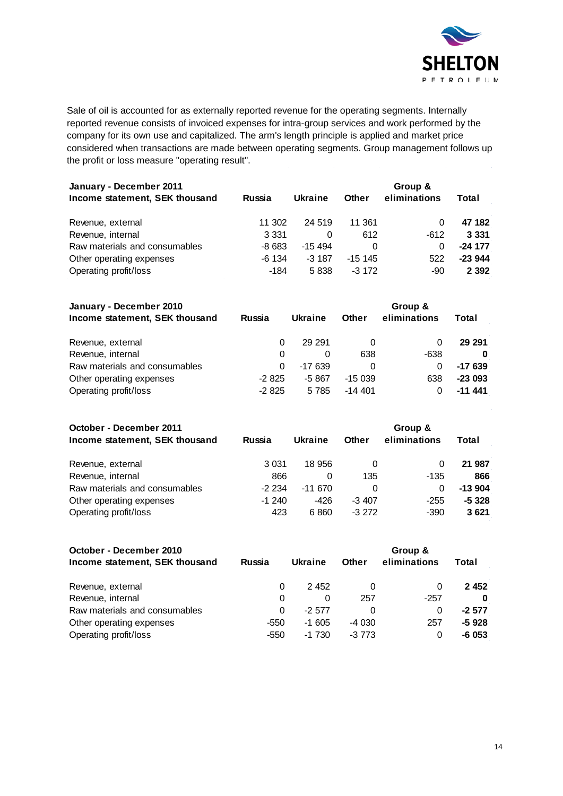

Sale of oil is accounted for as externally reported revenue for the operating segments. Internally reported revenue consists of invoiced expenses for intra-group services and work performed by the company for its own use and capitalized. The arm's length principle is applied and market price considered when transactions are made between operating segments. Group management follows up the profit or loss measure "operating result".

| January - December 2011<br>Income statement, SEK thousand | <b>Russia</b> | Ukraine  | <b>Other</b> | Group &<br>eliminations | Total     |
|-----------------------------------------------------------|---------------|----------|--------------|-------------------------|-----------|
| Revenue, external                                         | 11 302        | 24 519   | 11 361       | 0                       | 47 182    |
| Revenue, internal                                         | 3 3 3 1       | 0        | 612          | -612                    | 3 3 3 1   |
| Raw materials and consumables                             | $-8683$       | $-15494$ | 0            | 0                       | $-24$ 177 |
| Other operating expenses                                  | $-6$ 134      | $-3187$  | $-15.145$    | 522                     | $-23944$  |
| Operating profit/loss                                     | -184          | 5838     | $-3172$      | -90                     | 2 3 9 2   |

| January - December 2010        |               | Group & |              |              |          |  |  |
|--------------------------------|---------------|---------|--------------|--------------|----------|--|--|
| Income statement, SEK thousand | <b>Russia</b> | Ukraine | <b>Other</b> | eliminations | Total    |  |  |
| Revenue, external              | 0             | 29 291  | 0            | 0            | 29 29 1  |  |  |
| Revenue, internal              | 0             | 0       | 638          | -638         | 0        |  |  |
| Raw materials and consumables  | 0             | -17 639 |              | 0            | $-17639$ |  |  |
| Other operating expenses       | $-2825$       | -5 867  | $-15039$     | 638          | $-23093$ |  |  |
| Operating profit/loss          | $-2825$       | 5 7 8 5 | $-14.401$    |              | $-11441$ |  |  |

| October - December 2011<br>Income statement, SEK thousand | <b>Russia</b> | <b>Ukraine</b> | <b>Other</b> | Group &<br>eliminations | Total    |
|-----------------------------------------------------------|---------------|----------------|--------------|-------------------------|----------|
| Revenue, external                                         | 3 0 3 1       | 18 956         | 0            | 0                       | 21 987   |
| Revenue, internal                                         | 866           | 0              | 135          | -135                    | 866      |
| Raw materials and consumables                             | $-2234$       | $-11670$       | 0            | 0                       | $-13904$ |
| Other operating expenses                                  | $-1240$       | -426           | $-3407$      | $-255$                  | $-5328$  |
| Operating profit/loss                                     | 423           | 6860           | $-3272$      | -390                    | 3621     |

| October - December 2010        |               | Group & |              |              |         |
|--------------------------------|---------------|---------|--------------|--------------|---------|
| Income statement, SEK thousand | <b>Russia</b> | Ukraine | <b>Other</b> | eliminations | Total   |
| Revenue, external              | 0             | 2452    | 0            | 0            | 2452    |
| Revenue, internal              | 0             | 0       | 257          | -257         | O       |
| Raw materials and consumables  | 0             | $-2577$ | 0            | 0            | $-2577$ |
| Other operating expenses       | -550          | $-1605$ | -4 030       | 257          | $-5928$ |
| Operating profit/loss          | -550          | $-1730$ | $-3773$      | 0            | -6 053  |